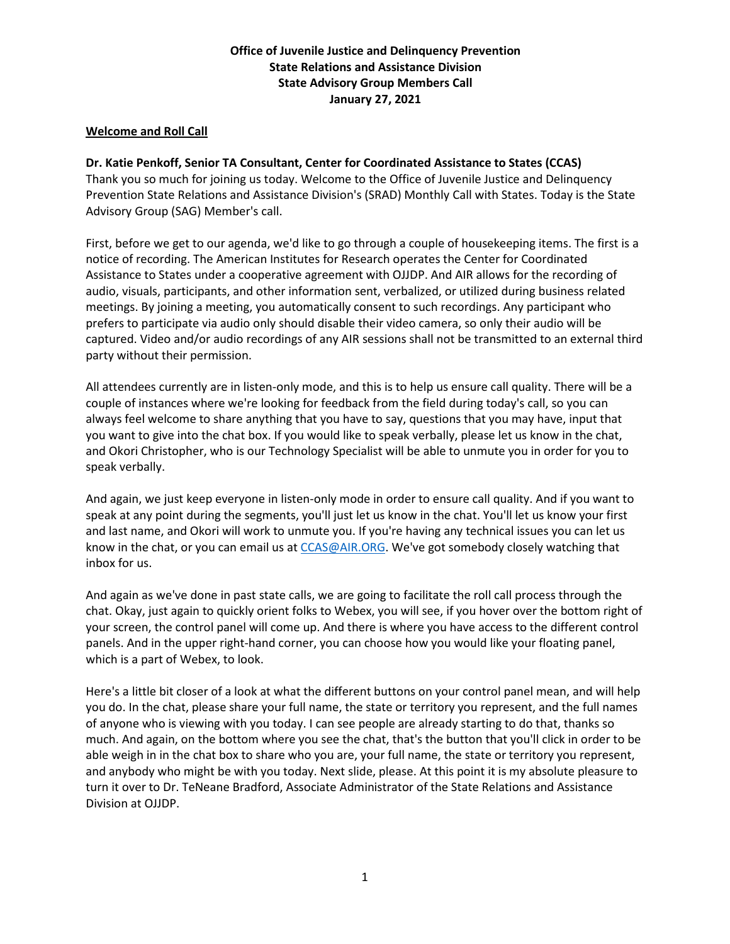# **Office of Juvenile Justice and Delinquency Prevention State Relations and Assistance Division State Advisory Group Members Call January 27, 2021**

### **Welcome and Roll Call**

# **Dr. Katie Penkoff, Senior TA Consultant, Center for Coordinated Assistance to States (CCAS)**

Thank you so much for joining us today. Welcome to the Office of Juvenile Justice and Delinquency Prevention State Relations and Assistance Division's (SRAD) Monthly Call with States. Today is the State Advisory Group (SAG) Member's call.

First, before we get to our agenda, we'd like to go through a couple of housekeeping items. The first is a notice of recording. The American Institutes for Research operates the Center for Coordinated Assistance to States under a cooperative agreement with OJJDP. And AIR allows for the recording of audio, visuals, participants, and other information sent, verbalized, or utilized during business related meetings. By joining a meeting, you automatically consent to such recordings. Any participant who prefers to participate via audio only should disable their video camera, so only their audio will be captured. Video and/or audio recordings of any AIR sessions shall not be transmitted to an external third party without their permission.

All attendees currently are in listen-only mode, and this is to help us ensure call quality. There will be a couple of instances where we're looking for feedback from the field during today's call, so you can always feel welcome to share anything that you have to say, questions that you may have, input that you want to give into the chat box. If you would like to speak verbally, please let us know in the chat, and Okori Christopher, who is our Technology Specialist will be able to unmute you in order for you to speak verbally.

And again, we just keep everyone in listen-only mode in order to ensure call quality. And if you want to speak at any point during the segments, you'll just let us know in the chat. You'll let us know your first and last name, and Okori will work to unmute you. If you're having any technical issues you can let us know in the chat, or you can email us at [CCAS@AIR.ORG.](mailto:CCAS@AIR.ORG) We've got somebody closely watching that inbox for us.

And again as we've done in past state calls, we are going to facilitate the roll call process through the chat. Okay, just again to quickly orient folks to Webex, you will see, if you hover over the bottom right of your screen, the control panel will come up. And there is where you have access to the different control panels. And in the upper right-hand corner, you can choose how you would like your floating panel, which is a part of Webex, to look.

Here's a little bit closer of a look at what the different buttons on your control panel mean, and will help you do. In the chat, please share your full name, the state or territory you represent, and the full names of anyone who is viewing with you today. I can see people are already starting to do that, thanks so much. And again, on the bottom where you see the chat, that's the button that you'll click in order to be able weigh in in the chat box to share who you are, your full name, the state or territory you represent, and anybody who might be with you today. Next slide, please. At this point it is my absolute pleasure to turn it over to Dr. TeNeane Bradford, Associate Administrator of the State Relations and Assistance Division at OJJDP.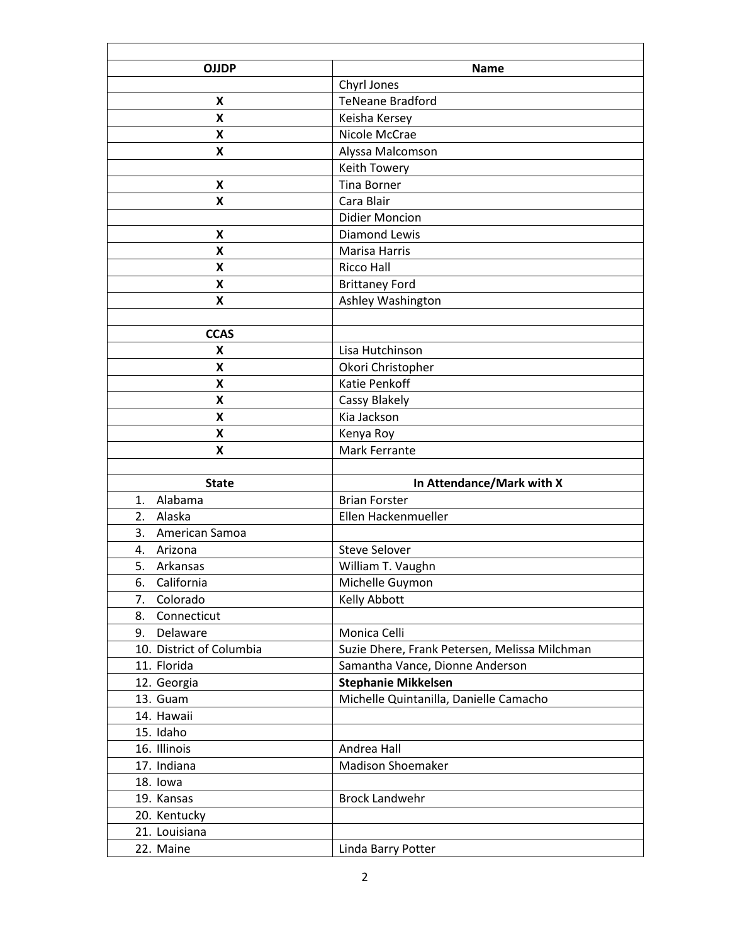| <b>OJJDP</b>              | <b>Name</b>                                   |
|---------------------------|-----------------------------------------------|
|                           | Chyrl Jones                                   |
| X                         | <b>TeNeane Bradford</b>                       |
| X                         | Keisha Kersey                                 |
| X                         | Nicole McCrae                                 |
| X                         | Alyssa Malcomson                              |
|                           | Keith Towery                                  |
| X                         | <b>Tina Borner</b>                            |
| X                         | Cara Blair                                    |
|                           | <b>Didier Moncion</b>                         |
| X                         | Diamond Lewis                                 |
| X                         | Marisa Harris                                 |
| X                         | <b>Ricco Hall</b>                             |
| X                         | <b>Brittaney Ford</b>                         |
| X                         | Ashley Washington                             |
|                           |                                               |
| <b>CCAS</b>               |                                               |
| X                         | Lisa Hutchinson                               |
| Χ                         | Okori Christopher                             |
| X                         | Katie Penkoff                                 |
| X                         | Cassy Blakely                                 |
| $\boldsymbol{\mathsf{X}}$ | Kia Jackson                                   |
| Χ                         | Kenya Roy                                     |
| X                         | Mark Ferrante                                 |
|                           |                                               |
| <b>State</b>              | In Attendance/Mark with X                     |
| Alabama<br>1.             | <b>Brian Forster</b>                          |
| 2.<br>Alaska              | Ellen Hackenmueller                           |
| 3.<br>American Samoa      |                                               |
| Arizona<br>4.             | <b>Steve Selover</b>                          |
| 5.<br>Arkansas            | William T. Vaughn                             |
| California<br>6.          | Michelle Guymon                               |
| Colorado<br>7.            | Kelly Abbott                                  |
| 8.<br>Connecticut         |                                               |
| Delaware<br>9.            | Monica Celli                                  |
| 10. District of Columbia  | Suzie Dhere, Frank Petersen, Melissa Milchman |
| 11. Florida               | Samantha Vance, Dionne Anderson               |
| 12. Georgia               | <b>Stephanie Mikkelsen</b>                    |
| 13. Guam                  | Michelle Quintanilla, Danielle Camacho        |
| 14. Hawaii                |                                               |
| 15. Idaho                 |                                               |
| 16. Illinois              | Andrea Hall                                   |
| 17. Indiana               | <b>Madison Shoemaker</b>                      |
| 18. lowa                  |                                               |
| 19. Kansas                | <b>Brock Landwehr</b>                         |
| 20. Kentucky              |                                               |
| 21. Louisiana             |                                               |
| 22. Maine                 | Linda Barry Potter                            |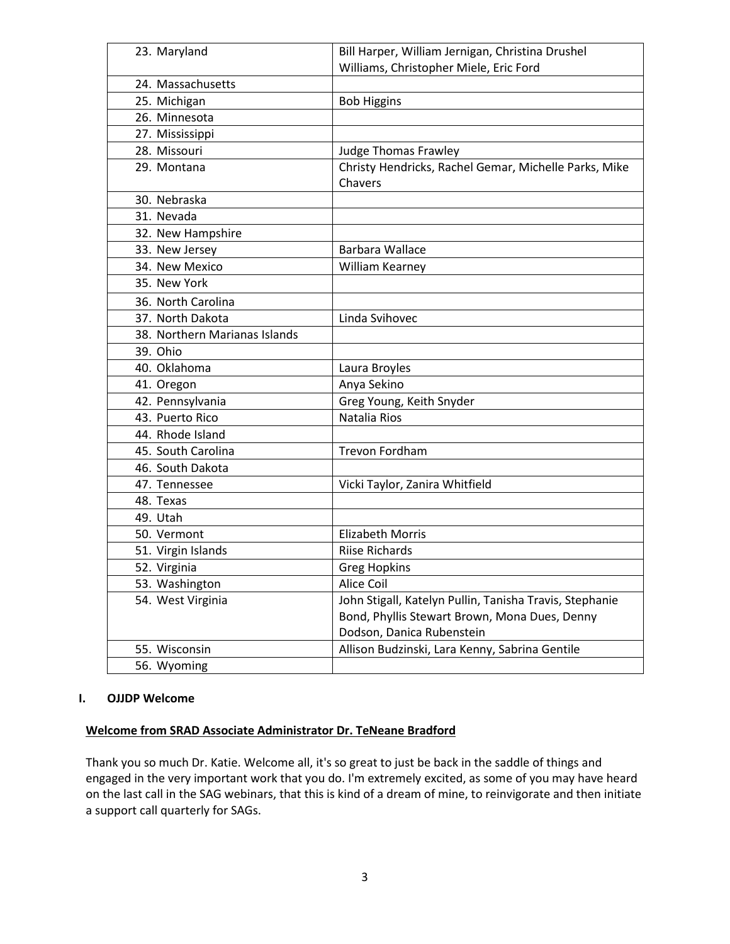| 23. Maryland                  | Bill Harper, William Jernigan, Christina Drushel        |
|-------------------------------|---------------------------------------------------------|
|                               | Williams, Christopher Miele, Eric Ford                  |
| 24. Massachusetts             |                                                         |
| 25. Michigan                  | <b>Bob Higgins</b>                                      |
| 26. Minnesota                 |                                                         |
| 27. Mississippi               |                                                         |
| 28. Missouri                  | <b>Judge Thomas Frawley</b>                             |
| 29. Montana                   | Christy Hendricks, Rachel Gemar, Michelle Parks, Mike   |
|                               | Chavers                                                 |
| 30. Nebraska                  |                                                         |
| 31. Nevada                    |                                                         |
| 32. New Hampshire             |                                                         |
| 33. New Jersey                | Barbara Wallace                                         |
| 34. New Mexico                | William Kearney                                         |
| 35. New York                  |                                                         |
| 36. North Carolina            |                                                         |
| 37. North Dakota              | Linda Svihovec                                          |
| 38. Northern Marianas Islands |                                                         |
| 39. Ohio                      |                                                         |
| 40. Oklahoma                  | Laura Broyles                                           |
| 41. Oregon                    | Anya Sekino                                             |
| 42. Pennsylvania              | Greg Young, Keith Snyder                                |
| 43. Puerto Rico               | Natalia Rios                                            |
| 44. Rhode Island              |                                                         |
| 45. South Carolina            | <b>Trevon Fordham</b>                                   |
| 46. South Dakota              |                                                         |
| 47. Tennessee                 | Vicki Taylor, Zanira Whitfield                          |
| 48. Texas                     |                                                         |
| 49. Utah                      |                                                         |
| 50. Vermont                   | <b>Elizabeth Morris</b>                                 |
| 51. Virgin Islands            | <b>Riise Richards</b>                                   |
| 52. Virginia                  | <b>Greg Hopkins</b>                                     |
| 53. Washington                | Alice Coil                                              |
| 54. West Virginia             | John Stigall, Katelyn Pullin, Tanisha Travis, Stephanie |
|                               | Bond, Phyllis Stewart Brown, Mona Dues, Denny           |
|                               | Dodson, Danica Rubenstein                               |
| 55. Wisconsin                 | Allison Budzinski, Lara Kenny, Sabrina Gentile          |
| 56. Wyoming                   |                                                         |

#### **I. OJJDP Welcome**

#### **Welcome from SRAD Associate Administrator Dr. TeNeane Bradford**

Thank you so much Dr. Katie. Welcome all, it's so great to just be back in the saddle of things and engaged in the very important work that you do. I'm extremely excited, as some of you may have heard on the last call in the SAG webinars, that this is kind of a dream of mine, to reinvigorate and then initiate a support call quarterly for SAGs.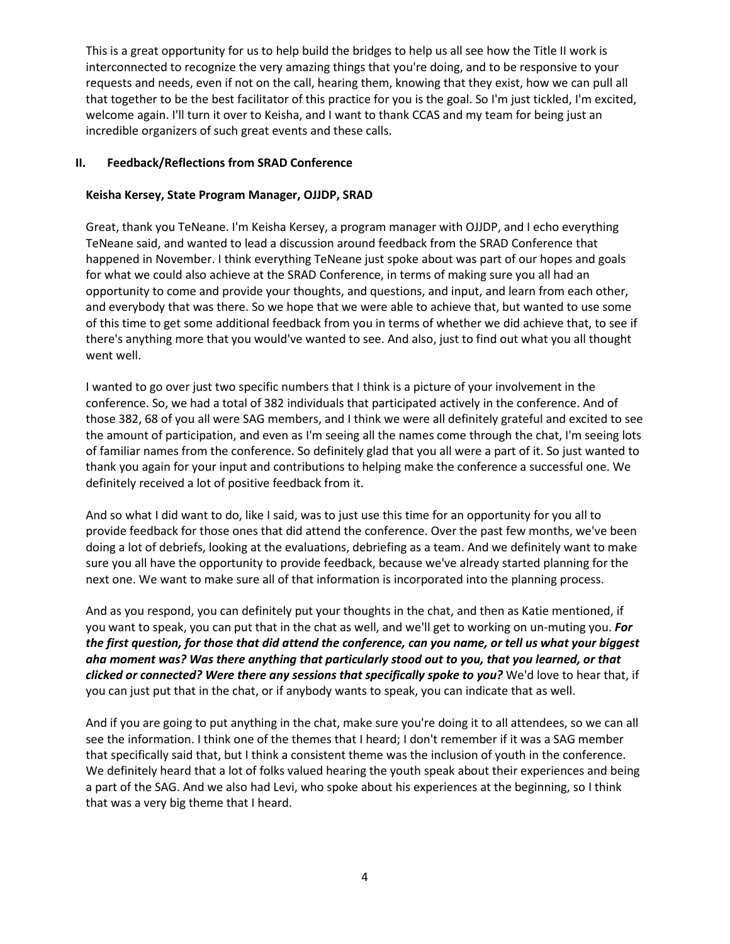This is a great opportunity for us to help build the bridges to help us all see how the Title II work is interconnected to recognize the very amazing things that you're doing, and to be responsive to your requests and needs, even if not on the call, hearing them, knowing that they exist, how we can pull all that together to be the best facilitator of this practice for you is the goal. So I'm just tickled, I'm excited, welcome again. I'll turn it over to Keisha, and I want to thank CCAS and my team for being just an incredible organizers of such great events and these calls.

### **II. Feedback/Reflections from SRAD Conference**

## **Keisha Kersey, State Program Manager, OJJDP, SRAD**

Great, thank you TeNeane. I'm Keisha Kersey, a program manager with OJJDP, and I echo everything TeNeane said, and wanted to lead a discussion around feedback from the SRAD Conference that happened in November. I think everything TeNeane just spoke about was part of our hopes and goals for what we could also achieve at the SRAD Conference, in terms of making sure you all had an opportunity to come and provide your thoughts, and questions, and input, and learn from each other, and everybody that was there. So we hope that we were able to achieve that, but wanted to use some of this time to get some additional feedback from you in terms of whether we did achieve that, to see if there's anything more that you would've wanted to see. And also, just to find out what you all thought went well.

I wanted to go over just two specific numbers that I think is a picture of your involvement in the conference. So, we had a total of 382 individuals that participated actively in the conference. And of those 382, 68 of you all were SAG members, and I think we were all definitely grateful and excited to see the amount of participation, and even as I'm seeing all the names come through the chat, I'm seeing lots of familiar names from the conference. So definitely glad that you all were a part of it. So just wanted to thank you again for your input and contributions to helping make the conference a successful one. We definitely received a lot of positive feedback from it.

And so what I did want to do, like I said, was to just use this time for an opportunity for you all to provide feedback for those ones that did attend the conference. Over the past few months, we've been doing a lot of debriefs, looking at the evaluations, debriefing as a team. And we definitely want to make sure you all have the opportunity to provide feedback, because we've already started planning for the next one. We want to make sure all of that information is incorporated into the planning process.

And as you respond, you can definitely put your thoughts in the chat, and then as Katie mentioned, if you want to speak, you can put that in the chat as well, and we'll get to working on un-muting you. *For the first question, for those that did attend the conference, can you name, or tell us what your biggest aha moment was? Was there anything that particularly stood out to you, that you learned, or that clicked or connected? Were there any sessions that specifically spoke to you?* We'd love to hear that, if you can just put that in the chat, or if anybody wants to speak, you can indicate that as well.

And if you are going to put anything in the chat, make sure you're doing it to all attendees, so we can all see the information. I think one of the themes that I heard; I don't remember if it was a SAG member that specifically said that, but I think a consistent theme was the inclusion of youth in the conference. We definitely heard that a lot of folks valued hearing the youth speak about their experiences and being a part of the SAG. And we also had Levi, who spoke about his experiences at the beginning, so I think that was a very big theme that I heard.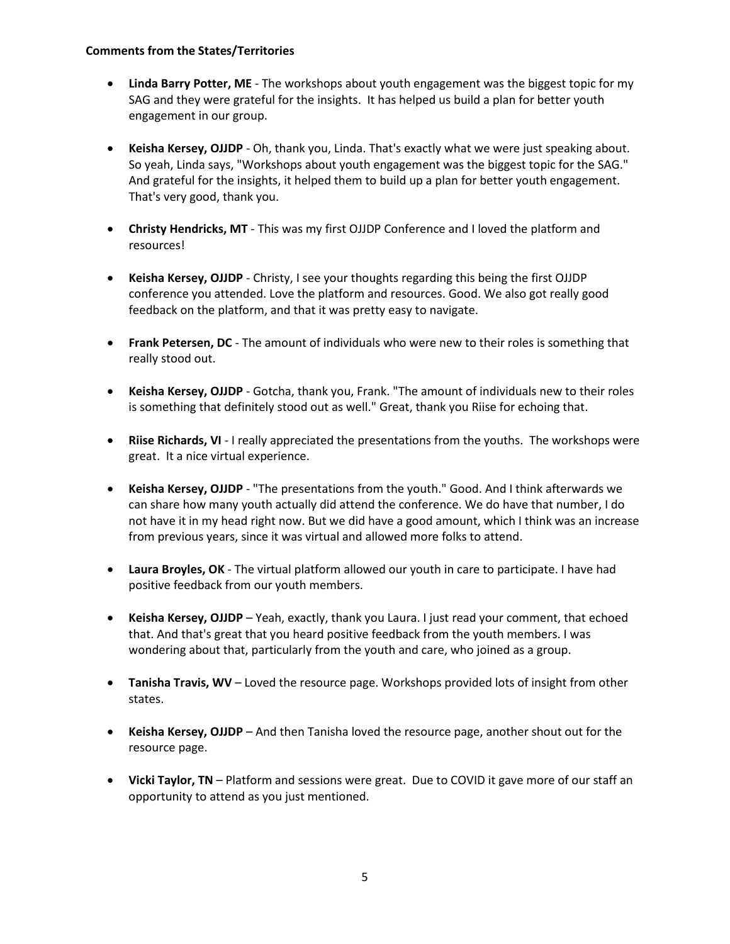#### **Comments from the States/Territories**

- **Linda Barry Potter, ME** The workshops about youth engagement was the biggest topic for my SAG and they were grateful for the insights. It has helped us build a plan for better youth engagement in our group.
- **Keisha Kersey, OJJDP** Oh, thank you, Linda. That's exactly what we were just speaking about. So yeah, Linda says, "Workshops about youth engagement was the biggest topic for the SAG." And grateful for the insights, it helped them to build up a plan for better youth engagement. That's very good, thank you.
- **Christy Hendricks, MT** This was my first OJJDP Conference and I loved the platform and resources!
- **Keisha Kersey, OJJDP** Christy, I see your thoughts regarding this being the first OJJDP conference you attended. Love the platform and resources. Good. We also got really good feedback on the platform, and that it was pretty easy to navigate.
- **Frank Petersen, DC** The amount of individuals who were new to their roles is something that really stood out.
- **Keisha Kersey, OJJDP** Gotcha, thank you, Frank. "The amount of individuals new to their roles is something that definitely stood out as well." Great, thank you Riise for echoing that.
- **Riise Richards, VI** I really appreciated the presentations from the youths. The workshops were great. It a nice virtual experience.
- **Keisha Kersey, OJJDP** "The presentations from the youth." Good. And I think afterwards we can share how many youth actually did attend the conference. We do have that number, I do not have it in my head right now. But we did have a good amount, which I think was an increase from previous years, since it was virtual and allowed more folks to attend.
- **Laura Broyles, OK** The virtual platform allowed our youth in care to participate. I have had positive feedback from our youth members.
- **Keisha Kersey, OJJDP** Yeah, exactly, thank you Laura. I just read your comment, that echoed that. And that's great that you heard positive feedback from the youth members. I was wondering about that, particularly from the youth and care, who joined as a group.
- **Tanisha Travis, WV** Loved the resource page. Workshops provided lots of insight from other states.
- **Keisha Kersey, OJJDP** And then Tanisha loved the resource page, another shout out for the resource page.
- **Vicki Taylor, TN** Platform and sessions were great. Due to COVID it gave more of our staff an opportunity to attend as you just mentioned.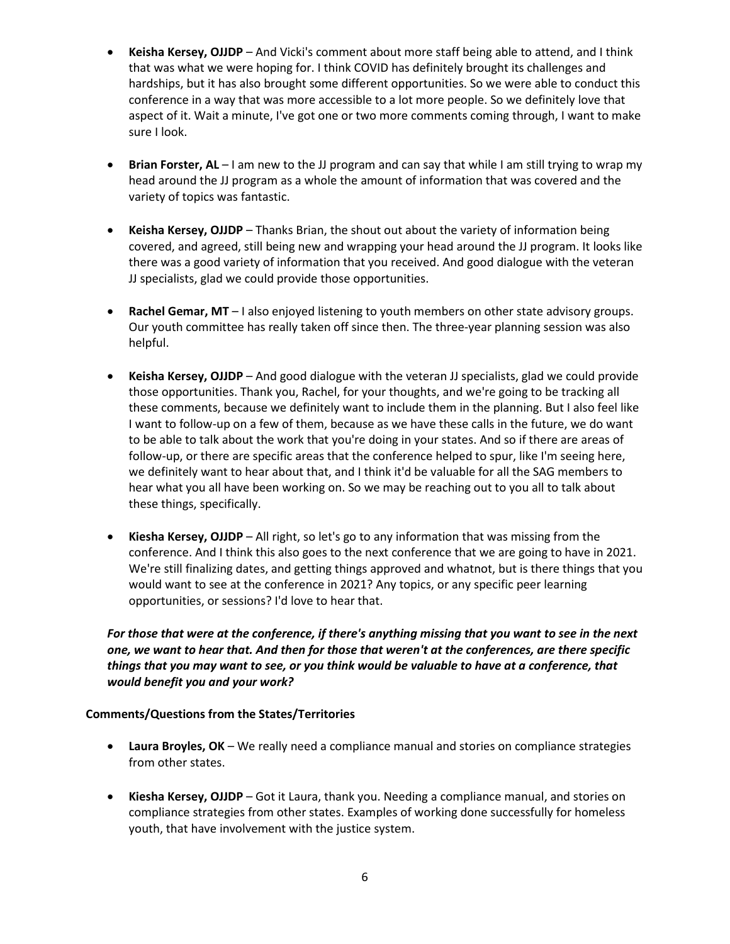- **Keisha Kersey, OJJDP** And Vicki's comment about more staff being able to attend, and I think that was what we were hoping for. I think COVID has definitely brought its challenges and hardships, but it has also brought some different opportunities. So we were able to conduct this conference in a way that was more accessible to a lot more people. So we definitely love that aspect of it. Wait a minute, I've got one or two more comments coming through, I want to make sure I look.
- **Brian Forster, AL** I am new to the JJ program and can say that while I am still trying to wrap my head around the JJ program as a whole the amount of information that was covered and the variety of topics was fantastic.
- **Keisha Kersey, OJJDP** Thanks Brian, the shout out about the variety of information being covered, and agreed, still being new and wrapping your head around the JJ program. It looks like there was a good variety of information that you received. And good dialogue with the veteran JJ specialists, glad we could provide those opportunities.
- **Rachel Gemar, MT** I also enjoyed listening to youth members on other state advisory groups. Our youth committee has really taken off since then. The three-year planning session was also helpful.
- **Keisha Kersey, OJJDP** And good dialogue with the veteran JJ specialists, glad we could provide those opportunities. Thank you, Rachel, for your thoughts, and we're going to be tracking all these comments, because we definitely want to include them in the planning. But I also feel like I want to follow-up on a few of them, because as we have these calls in the future, we do want to be able to talk about the work that you're doing in your states. And so if there are areas of follow-up, or there are specific areas that the conference helped to spur, like I'm seeing here, we definitely want to hear about that, and I think it'd be valuable for all the SAG members to hear what you all have been working on. So we may be reaching out to you all to talk about these things, specifically.
- **Kiesha Kersey, OJJDP**  All right, so let's go to any information that was missing from the conference. And I think this also goes to the next conference that we are going to have in 2021. We're still finalizing dates, and getting things approved and whatnot, but is there things that you would want to see at the conference in 2021? Any topics, or any specific peer learning opportunities, or sessions? I'd love to hear that.

# *For those that were at the conference, if there's anything missing that you want to see in the next one, we want to hear that. And then for those that weren't at the conferences, are there specific things that you may want to see, or you think would be valuable to have at a conference, that would benefit you and your work?*

# **Comments/Questions from the States/Territories**

- **Laura Broyles, OK** We really need a compliance manual and stories on compliance strategies from other states.
- **Kiesha Kersey, OJJDP**  Got it Laura, thank you. Needing a compliance manual, and stories on compliance strategies from other states. Examples of working done successfully for homeless youth, that have involvement with the justice system.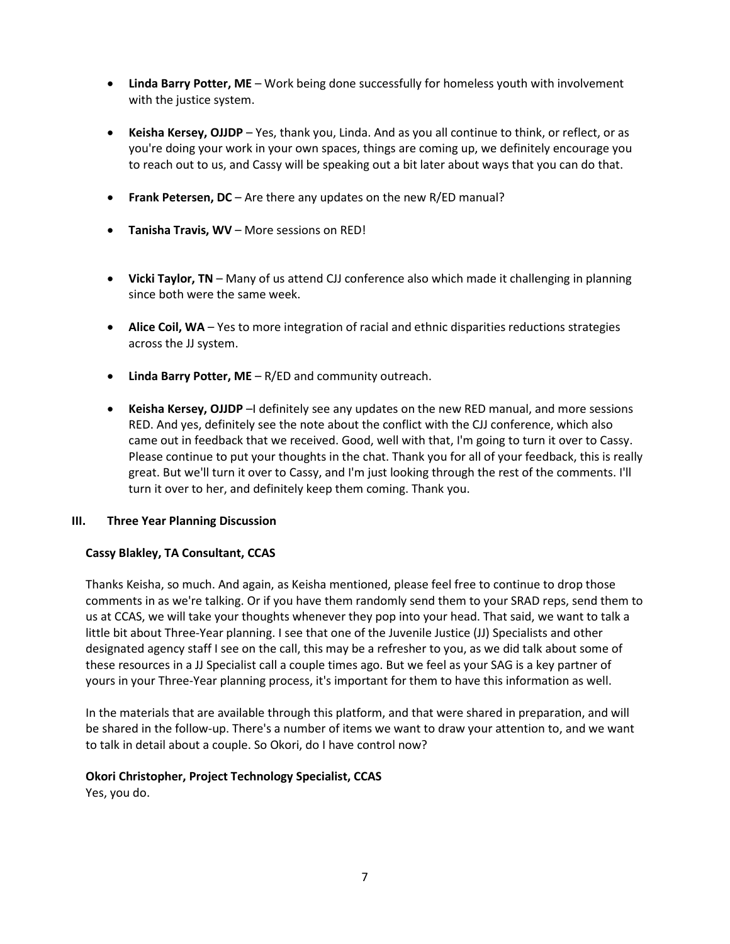- **Linda Barry Potter, ME** Work being done successfully for homeless youth with involvement with the justice system.
- **Keisha Kersey, OJJDP** Yes, thank you, Linda. And as you all continue to think, or reflect, or as you're doing your work in your own spaces, things are coming up, we definitely encourage you to reach out to us, and Cassy will be speaking out a bit later about ways that you can do that.
- **Frank Petersen, DC** Are there any updates on the new R/ED manual?
- **Tanisha Travis, WV** More sessions on RED!
- **Vicki Taylor, TN** Many of us attend CJJ conference also which made it challenging in planning since both were the same week.
- **Alice Coil, WA** Yes to more integration of racial and ethnic disparities reductions strategies across the JJ system.
- **Linda Barry Potter, ME** R/ED and community outreach.
- **Keisha Kersey, OJJDP** –I definitely see any updates on the new RED manual, and more sessions RED. And yes, definitely see the note about the conflict with the CJJ conference, which also came out in feedback that we received. Good, well with that, I'm going to turn it over to Cassy. Please continue to put your thoughts in the chat. Thank you for all of your feedback, this is really great. But we'll turn it over to Cassy, and I'm just looking through the rest of the comments. I'll turn it over to her, and definitely keep them coming. Thank you.

#### **III. Three Year Planning Discussion**

#### **Cassy Blakley, TA Consultant, CCAS**

Thanks Keisha, so much. And again, as Keisha mentioned, please feel free to continue to drop those comments in as we're talking. Or if you have them randomly send them to your SRAD reps, send them to us at CCAS, we will take your thoughts whenever they pop into your head. That said, we want to talk a little bit about Three-Year planning. I see that one of the Juvenile Justice (JJ) Specialists and other designated agency staff I see on the call, this may be a refresher to you, as we did talk about some of these resources in a JJ Specialist call a couple times ago. But we feel as your SAG is a key partner of yours in your Three-Year planning process, it's important for them to have this information as well.

In the materials that are available through this platform, and that were shared in preparation, and will be shared in the follow-up. There's a number of items we want to draw your attention to, and we want to talk in detail about a couple. So Okori, do I have control now?

#### **Okori Christopher, Project Technology Specialist, CCAS**

Yes, you do.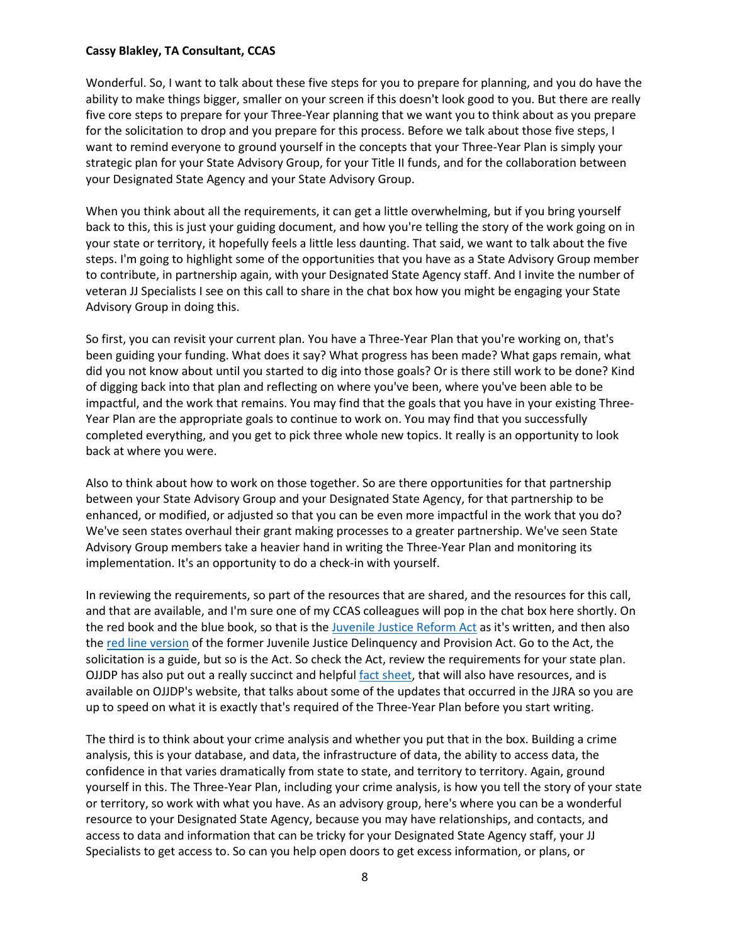#### **Cassy Blakley, TA Consultant, CCAS**

Wonderful. So, I want to talk about these five steps for you to prepare for planning, and you do have the ability to make things bigger, smaller on your screen if this doesn't look good to you. But there are really five core steps to prepare for your Three-Year planning that we want you to think about as you prepare for the solicitation to drop and you prepare for this process. Before we talk about those five steps, I want to remind everyone to ground yourself in the concepts that your Three-Year Plan is simply your strategic plan for your State Advisory Group, for your Title II funds, and for the collaboration between your Designated State Agency and your State Advisory Group.

When you think about all the requirements, it can get a little overwhelming, but if you bring yourself back to this, this is just your guiding document, and how you're telling the story of the work going on in your state or territory, it hopefully feels a little less daunting. That said, we want to talk about the five steps. I'm going to highlight some of the opportunities that you have as a State Advisory Group member to contribute, in partnership again, with your Designated State Agency staff. And I invite the number of veteran JJ Specialists I see on this call to share in the chat box how you might be engaging your State Advisory Group in doing this.

So first, you can revisit your current plan. You have a Three-Year Plan that you're working on, that's been guiding your funding. What does it say? What progress has been made? What gaps remain, what did you not know about until you started to dig into those goals? Or is there still work to be done? Kind of digging back into that plan and reflecting on where you've been, where you've been able to be impactful, and the work that remains. You may find that the goals that you have in your existing Three-Year Plan are the appropriate goals to continue to work on. You may find that you successfully completed everything, and you get to pick three whole new topics. It really is an opportunity to look back at where you were.

Also to think about how to work on those together. So are there opportunities for that partnership between your State Advisory Group and your Designated State Agency, for that partnership to be enhanced, or modified, or adjusted so that you can be even more impactful in the work that you do? We've seen states overhaul their grant making processes to a greater partnership. We've seen State Advisory Group members take a heavier hand in writing the Three-Year Plan and monitoring its implementation. It's an opportunity to do a check-in with yourself.

In reviewing the requirements, so part of the resources that are shared, and the resources for this call, and that are available, and I'm sure one of my CCAS colleagues will pop in the chat box here shortly. On the red book and the blue book, so that is th[e Juvenile Justice Reform Act](https://ojjdp.ojp.gov/sites/g/files/xyckuh176/files/media/document/jjdpa-as-amended_0.pdf) as it's written, and then also the [red line version](https://ojjdp.ojp.gov/sites/g/files/xyckuh176/files/media/document/254285.pdf) of the former Juvenile Justice Delinquency and Provision Act. Go to the Act, the solicitation is a guide, but so is the Act. So check the Act, review the requirements for your state plan. OJJDP has also put out a really succinct and helpful [fact sheet,](https://ojjdp.ojp.gov/sites/g/files/xyckuh176/files/pubs/252961.pdf) that will also have resources, and is available on OJJDP's website, that talks about some of the updates that occurred in the JJRA so you are up to speed on what it is exactly that's required of the Three-Year Plan before you start writing.

The third is to think about your crime analysis and whether you put that in the box. Building a crime analysis, this is your database, and data, the infrastructure of data, the ability to access data, the confidence in that varies dramatically from state to state, and territory to territory. Again, ground yourself in this. The Three-Year Plan, including your crime analysis, is how you tell the story of your state or territory, so work with what you have. As an advisory group, here's where you can be a wonderful resource to your Designated State Agency, because you may have relationships, and contacts, and access to data and information that can be tricky for your Designated State Agency staff, your JJ Specialists to get access to. So can you help open doors to get excess information, or plans, or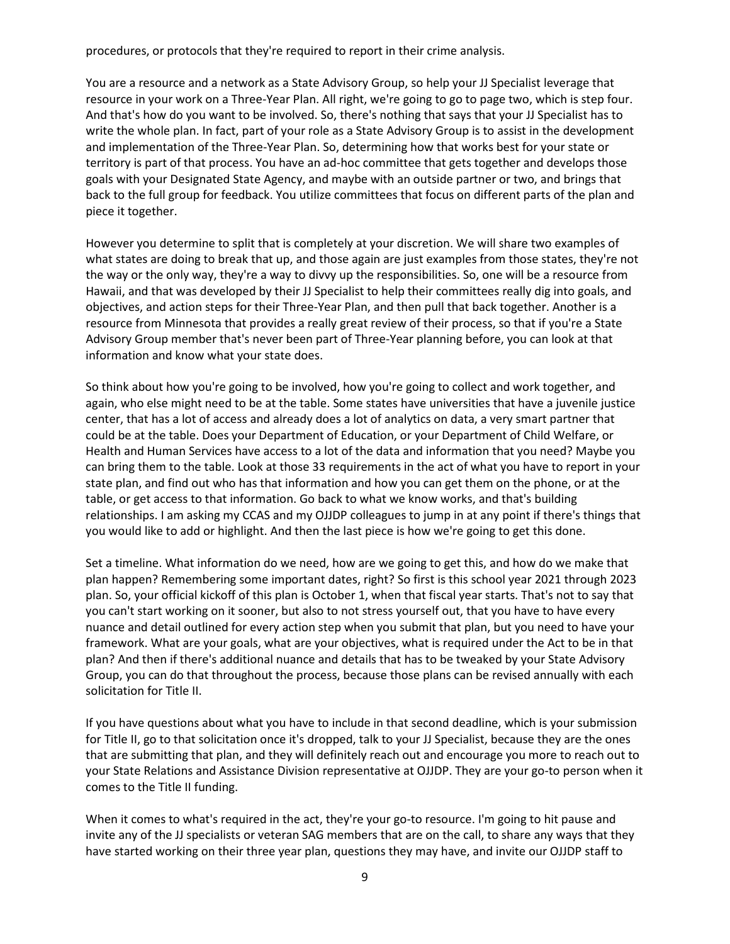procedures, or protocols that they're required to report in their crime analysis.

You are a resource and a network as a State Advisory Group, so help your JJ Specialist leverage that resource in your work on a Three-Year Plan. All right, we're going to go to page two, which is step four. And that's how do you want to be involved. So, there's nothing that says that your JJ Specialist has to write the whole plan. In fact, part of your role as a State Advisory Group is to assist in the development and implementation of the Three-Year Plan. So, determining how that works best for your state or territory is part of that process. You have an ad-hoc committee that gets together and develops those goals with your Designated State Agency, and maybe with an outside partner or two, and brings that back to the full group for feedback. You utilize committees that focus on different parts of the plan and piece it together.

However you determine to split that is completely at your discretion. We will share two examples of what states are doing to break that up, and those again are just examples from those states, they're not the way or the only way, they're a way to divvy up the responsibilities. So, one will be a resource from Hawaii, and that was developed by their JJ Specialist to help their committees really dig into goals, and objectives, and action steps for their Three-Year Plan, and then pull that back together. Another is a resource from Minnesota that provides a really great review of their process, so that if you're a State Advisory Group member that's never been part of Three-Year planning before, you can look at that information and know what your state does.

So think about how you're going to be involved, how you're going to collect and work together, and again, who else might need to be at the table. Some states have universities that have a juvenile justice center, that has a lot of access and already does a lot of analytics on data, a very smart partner that could be at the table. Does your Department of Education, or your Department of Child Welfare, or Health and Human Services have access to a lot of the data and information that you need? Maybe you can bring them to the table. Look at those 33 requirements in the act of what you have to report in your state plan, and find out who has that information and how you can get them on the phone, or at the table, or get access to that information. Go back to what we know works, and that's building relationships. I am asking my CCAS and my OJJDP colleagues to jump in at any point if there's things that you would like to add or highlight. And then the last piece is how we're going to get this done.

Set a timeline. What information do we need, how are we going to get this, and how do we make that plan happen? Remembering some important dates, right? So first is this school year 2021 through 2023 plan. So, your official kickoff of this plan is October 1, when that fiscal year starts. That's not to say that you can't start working on it sooner, but also to not stress yourself out, that you have to have every nuance and detail outlined for every action step when you submit that plan, but you need to have your framework. What are your goals, what are your objectives, what is required under the Act to be in that plan? And then if there's additional nuance and details that has to be tweaked by your State Advisory Group, you can do that throughout the process, because those plans can be revised annually with each solicitation for Title II.

If you have questions about what you have to include in that second deadline, which is your submission for Title II, go to that solicitation once it's dropped, talk to your JJ Specialist, because they are the ones that are submitting that plan, and they will definitely reach out and encourage you more to reach out to your State Relations and Assistance Division representative at OJJDP. They are your go-to person when it comes to the Title II funding.

When it comes to what's required in the act, they're your go-to resource. I'm going to hit pause and invite any of the JJ specialists or veteran SAG members that are on the call, to share any ways that they have started working on their three year plan, questions they may have, and invite our OJJDP staff to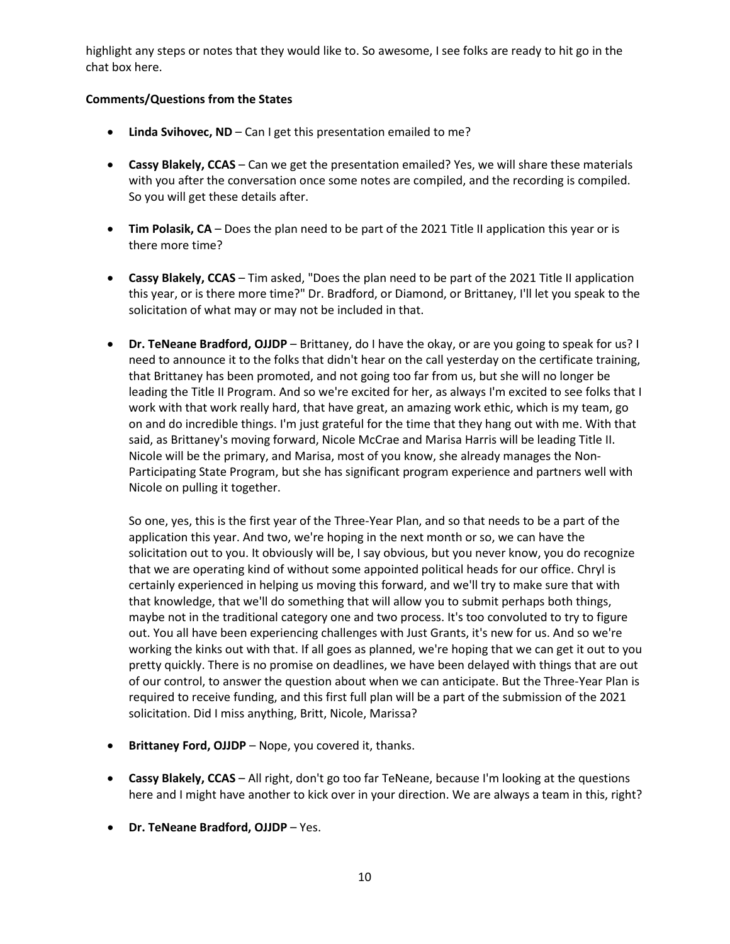highlight any steps or notes that they would like to. So awesome, I see folks are ready to hit go in the chat box here.

## **Comments/Questions from the States**

- **Linda Svihovec, ND** Can I get this presentation emailed to me?
- **Cassy Blakely, CCAS** Can we get the presentation emailed? Yes, we will share these materials with you after the conversation once some notes are compiled, and the recording is compiled. So you will get these details after.
- **Tim Polasik, CA** Does the plan need to be part of the 2021 Title II application this year or is there more time?
- **Cassy Blakely, CCAS** Tim asked, "Does the plan need to be part of the 2021 Title II application this year, or is there more time?" Dr. Bradford, or Diamond, or Brittaney, I'll let you speak to the solicitation of what may or may not be included in that.
- **Dr. TeNeane Bradford, OJJDP** Brittaney, do I have the okay, or are you going to speak for us? I need to announce it to the folks that didn't hear on the call yesterday on the certificate training, that Brittaney has been promoted, and not going too far from us, but she will no longer be leading the Title II Program. And so we're excited for her, as always I'm excited to see folks that I work with that work really hard, that have great, an amazing work ethic, which is my team, go on and do incredible things. I'm just grateful for the time that they hang out with me. With that said, as Brittaney's moving forward, Nicole McCrae and Marisa Harris will be leading Title II. Nicole will be the primary, and Marisa, most of you know, she already manages the Non-Participating State Program, but she has significant program experience and partners well with Nicole on pulling it together.

So one, yes, this is the first year of the Three-Year Plan, and so that needs to be a part of the application this year. And two, we're hoping in the next month or so, we can have the solicitation out to you. It obviously will be, I say obvious, but you never know, you do recognize that we are operating kind of without some appointed political heads for our office. Chryl is certainly experienced in helping us moving this forward, and we'll try to make sure that with that knowledge, that we'll do something that will allow you to submit perhaps both things, maybe not in the traditional category one and two process. It's too convoluted to try to figure out. You all have been experiencing challenges with Just Grants, it's new for us. And so we're working the kinks out with that. If all goes as planned, we're hoping that we can get it out to you pretty quickly. There is no promise on deadlines, we have been delayed with things that are out of our control, to answer the question about when we can anticipate. But the Three-Year Plan is required to receive funding, and this first full plan will be a part of the submission of the 2021 solicitation. Did I miss anything, Britt, Nicole, Marissa?

- **Brittaney Ford, OJJDP** Nope, you covered it, thanks.
- **Cassy Blakely, CCAS** All right, don't go too far TeNeane, because I'm looking at the questions here and I might have another to kick over in your direction. We are always a team in this, right?
- **Dr. TeNeane Bradford, OJJDP** Yes.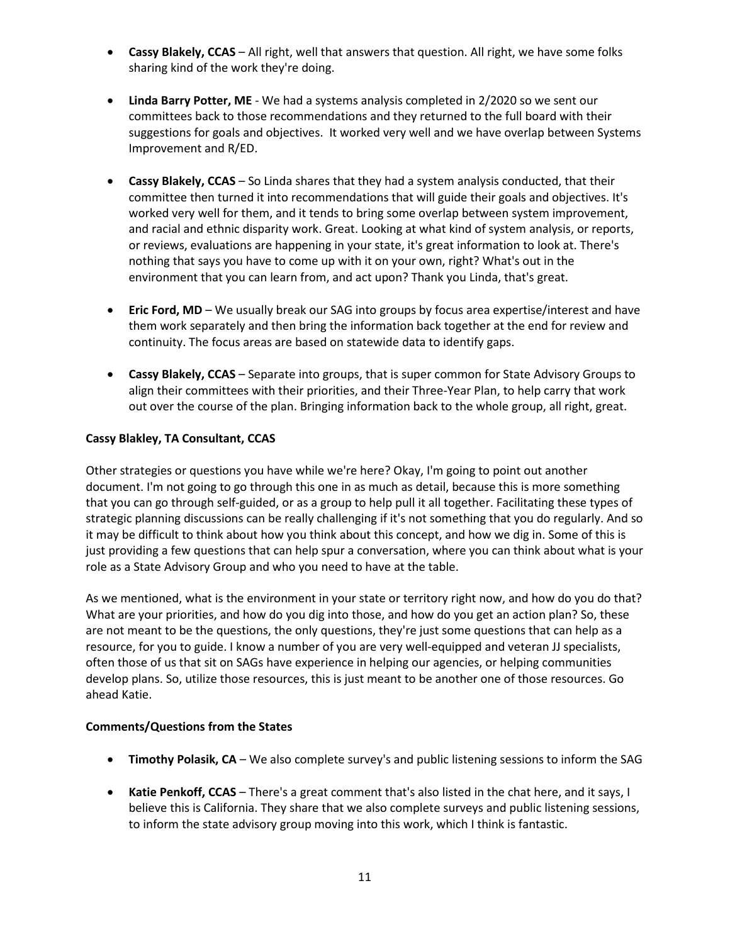- **Cassy Blakely, CCAS** All right, well that answers that question. All right, we have some folks sharing kind of the work they're doing.
- **Linda Barry Potter, ME** We had a systems analysis completed in 2/2020 so we sent our committees back to those recommendations and they returned to the full board with their suggestions for goals and objectives. It worked very well and we have overlap between Systems Improvement and R/ED.
- **Cassy Blakely, CCAS** So Linda shares that they had a system analysis conducted, that their committee then turned it into recommendations that will guide their goals and objectives. It's worked very well for them, and it tends to bring some overlap between system improvement, and racial and ethnic disparity work. Great. Looking at what kind of system analysis, or reports, or reviews, evaluations are happening in your state, it's great information to look at. There's nothing that says you have to come up with it on your own, right? What's out in the environment that you can learn from, and act upon? Thank you Linda, that's great.
- **Eric Ford, MD** We usually break our SAG into groups by focus area expertise/interest and have them work separately and then bring the information back together at the end for review and continuity. The focus areas are based on statewide data to identify gaps.
- **Cassy Blakely, CCAS** Separate into groups, that is super common for State Advisory Groups to align their committees with their priorities, and their Three-Year Plan, to help carry that work out over the course of the plan. Bringing information back to the whole group, all right, great.

## **Cassy Blakley, TA Consultant, CCAS**

Other strategies or questions you have while we're here? Okay, I'm going to point out another document. I'm not going to go through this one in as much as detail, because this is more something that you can go through self-guided, or as a group to help pull it all together. Facilitating these types of strategic planning discussions can be really challenging if it's not something that you do regularly. And so it may be difficult to think about how you think about this concept, and how we dig in. Some of this is just providing a few questions that can help spur a conversation, where you can think about what is your role as a State Advisory Group and who you need to have at the table.

As we mentioned, what is the environment in your state or territory right now, and how do you do that? What are your priorities, and how do you dig into those, and how do you get an action plan? So, these are not meant to be the questions, the only questions, they're just some questions that can help as a resource, for you to guide. I know a number of you are very well-equipped and veteran JJ specialists, often those of us that sit on SAGs have experience in helping our agencies, or helping communities develop plans. So, utilize those resources, this is just meant to be another one of those resources. Go ahead Katie.

### **Comments/Questions from the States**

- **Timothy Polasik, CA** We also complete survey's and public listening sessions to inform the SAG
- **Katie Penkoff, CCAS** There's a great comment that's also listed in the chat here, and it says, I believe this is California. They share that we also complete surveys and public listening sessions, to inform the state advisory group moving into this work, which I think is fantastic.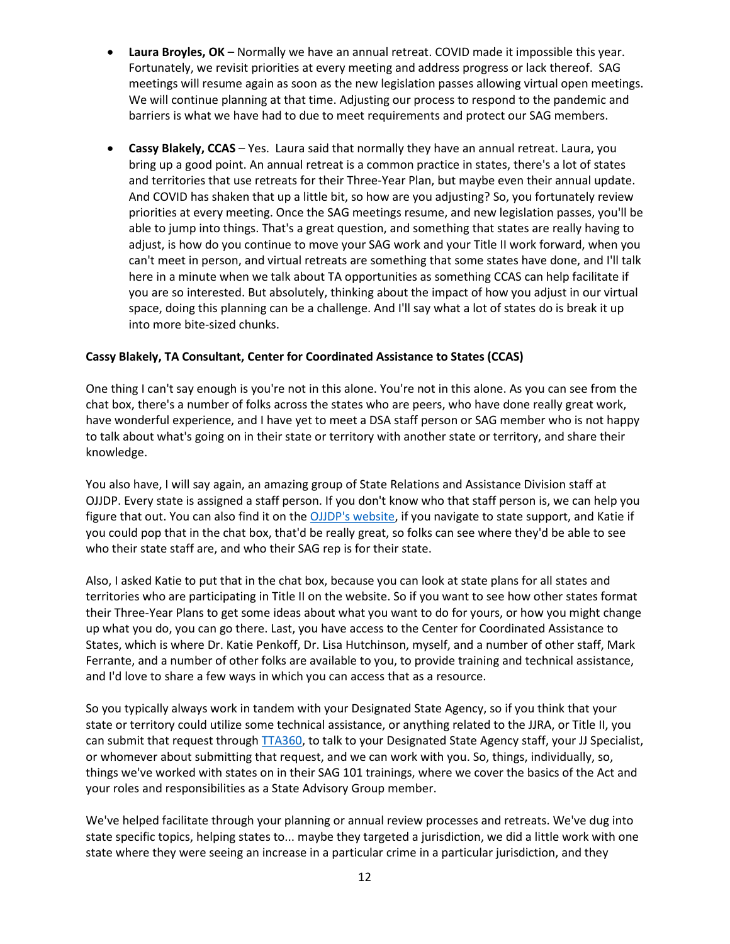- **Laura Broyles, OK** Normally we have an annual retreat. COVID made it impossible this year. Fortunately, we revisit priorities at every meeting and address progress or lack thereof. SAG meetings will resume again as soon as the new legislation passes allowing virtual open meetings. We will continue planning at that time. Adjusting our process to respond to the pandemic and barriers is what we have had to due to meet requirements and protect our SAG members.
- **Cassy Blakely, CCAS** Yes. Laura said that normally they have an annual retreat. Laura, you bring up a good point. An annual retreat is a common practice in states, there's a lot of states and territories that use retreats for their Three-Year Plan, but maybe even their annual update. And COVID has shaken that up a little bit, so how are you adjusting? So, you fortunately review priorities at every meeting. Once the SAG meetings resume, and new legislation passes, you'll be able to jump into things. That's a great question, and something that states are really having to adjust, is how do you continue to move your SAG work and your Title II work forward, when you can't meet in person, and virtual retreats are something that some states have done, and I'll talk here in a minute when we talk about TA opportunities as something CCAS can help facilitate if you are so interested. But absolutely, thinking about the impact of how you adjust in our virtual space, doing this planning can be a challenge. And I'll say what a lot of states do is break it up into more bite-sized chunks.

## **Cassy Blakely, TA Consultant, Center for Coordinated Assistance to States (CCAS)**

One thing I can't say enough is you're not in this alone. You're not in this alone. As you can see from the chat box, there's a number of folks across the states who are peers, who have done really great work, have wonderful experience, and I have yet to meet a DSA staff person or SAG member who is not happy to talk about what's going on in their state or territory with another state or territory, and share their knowledge.

You also have, I will say again, an amazing group of State Relations and Assistance Division staff at OJJDP. Every state is assigned a staff person. If you don't know who that staff person is, we can help you figure that out. You can also find it on the [OJJDP's website,](https://ojjdp.ojp.gov/states) if you navigate to state support, and Katie if you could pop that in the chat box, that'd be really great, so folks can see where they'd be able to see who their state staff are, and who their SAG rep is for their state.

Also, I asked Katie to put that in the chat box, because you can look at state plans for all states and territories who are participating in Title II on the website. So if you want to see how other states format their Three-Year Plans to get some ideas about what you want to do for yours, or how you might change up what you do, you can go there. Last, you have access to the Center for Coordinated Assistance to States, which is where Dr. Katie Penkoff, Dr. Lisa Hutchinson, myself, and a number of other staff, Mark Ferrante, and a number of other folks are available to you, to provide training and technical assistance, and I'd love to share a few ways in which you can access that as a resource.

So you typically always work in tandem with your Designated State Agency, so if you think that your state or territory could utilize some technical assistance, or anything related to the JJRA, or Title II, you can submit that request throug[h TTA360,](https://tta360.ojjdp.ojp.gov/?display=login&returnURL=http%3A%2F%2Ftta360%2Eojjdp%2Eojp%2Egov%2F) to talk to your Designated State Agency staff, your JJ Specialist, or whomever about submitting that request, and we can work with you. So, things, individually, so, things we've worked with states on in their SAG 101 trainings, where we cover the basics of the Act and your roles and responsibilities as a State Advisory Group member.

We've helped facilitate through your planning or annual review processes and retreats. We've dug into state specific topics, helping states to... maybe they targeted a jurisdiction, we did a little work with one state where they were seeing an increase in a particular crime in a particular jurisdiction, and they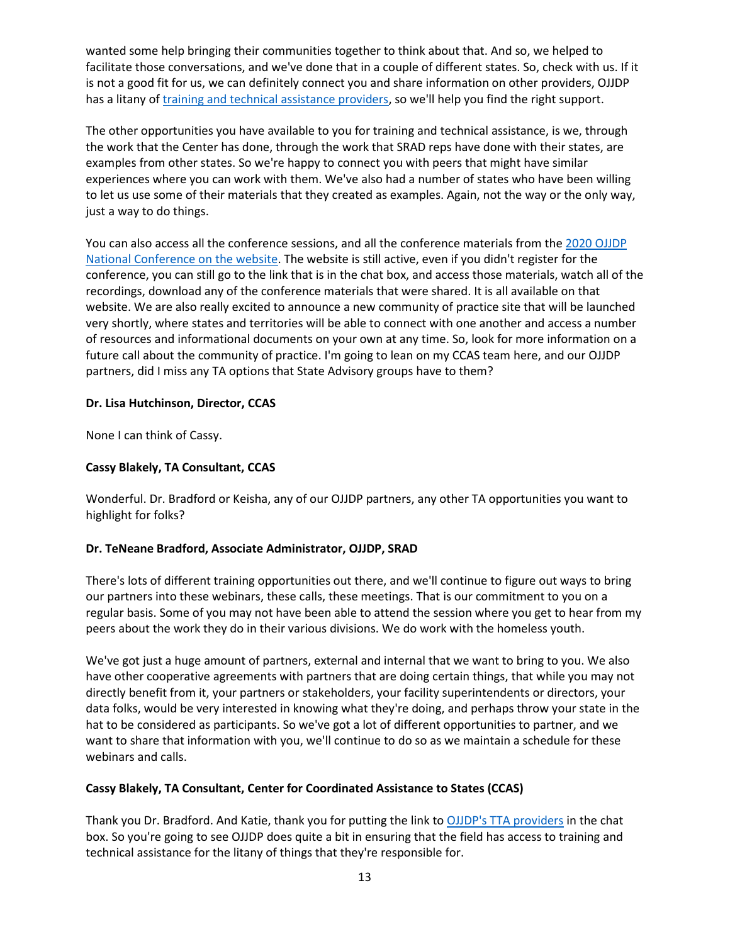wanted some help bringing their communities together to think about that. And so, we helped to facilitate those conversations, and we've done that in a couple of different states. So, check with us. If it is not a good fit for us, we can definitely connect you and share information on other providers, OJJDP has a litany of *training and technical assistance providers*, so we'll help you find the right support.

The other opportunities you have available to you for training and technical assistance, is we, through the work that the Center has done, through the work that SRAD reps have done with their states, are examples from other states. So we're happy to connect you with peers that might have similar experiences where you can work with them. We've also had a number of states who have been willing to let us use some of their materials that they created as examples. Again, not the way or the only way, just a way to do things.

You can also access all the conference sessions, and all the conference materials from the [2020 OJJDP](https://air.6connex.com/event/SRADConference/login)  [National Conference on the website.](https://air.6connex.com/event/SRADConference/login) The website is still active, even if you didn't register for the conference, you can still go to the link that is in the chat box, and access those materials, watch all of the recordings, download any of the conference materials that were shared. It is all available on that website. We are also really excited to announce a new community of practice site that will be launched very shortly, where states and territories will be able to connect with one another and access a number of resources and informational documents on your own at any time. So, look for more information on a future call about the community of practice. I'm going to lean on my CCAS team here, and our OJJDP partners, did I miss any TA options that State Advisory groups have to them?

## **Dr. Lisa Hutchinson, Director, CCAS**

None I can think of Cassy.

## **Cassy Blakely, TA Consultant, CCAS**

Wonderful. Dr. Bradford or Keisha, any of our OJJDP partners, any other TA opportunities you want to highlight for folks?

#### **Dr. TeNeane Bradford, Associate Administrator, OJJDP, SRAD**

There's lots of different training opportunities out there, and we'll continue to figure out ways to bring our partners into these webinars, these calls, these meetings. That is our commitment to you on a regular basis. Some of you may not have been able to attend the session where you get to hear from my peers about the work they do in their various divisions. We do work with the homeless youth.

We've got just a huge amount of partners, external and internal that we want to bring to you. We also have other cooperative agreements with partners that are doing certain things, that while you may not directly benefit from it, your partners or stakeholders, your facility superintendents or directors, your data folks, would be very interested in knowing what they're doing, and perhaps throw your state in the hat to be considered as participants. So we've got a lot of different opportunities to partner, and we want to share that information with you, we'll continue to do so as we maintain a schedule for these webinars and calls.

# **Cassy Blakely, TA Consultant, Center for Coordinated Assistance to States (CCAS)**

Thank you Dr. Bradford. And Katie, thank you for putting the link to [OJJDP's TTA providers](https://ojjdp.ojp.gov/training-and-technical-assistance) in the chat box. So you're going to see OJJDP does quite a bit in ensuring that the field has access to training and technical assistance for the litany of things that they're responsible for.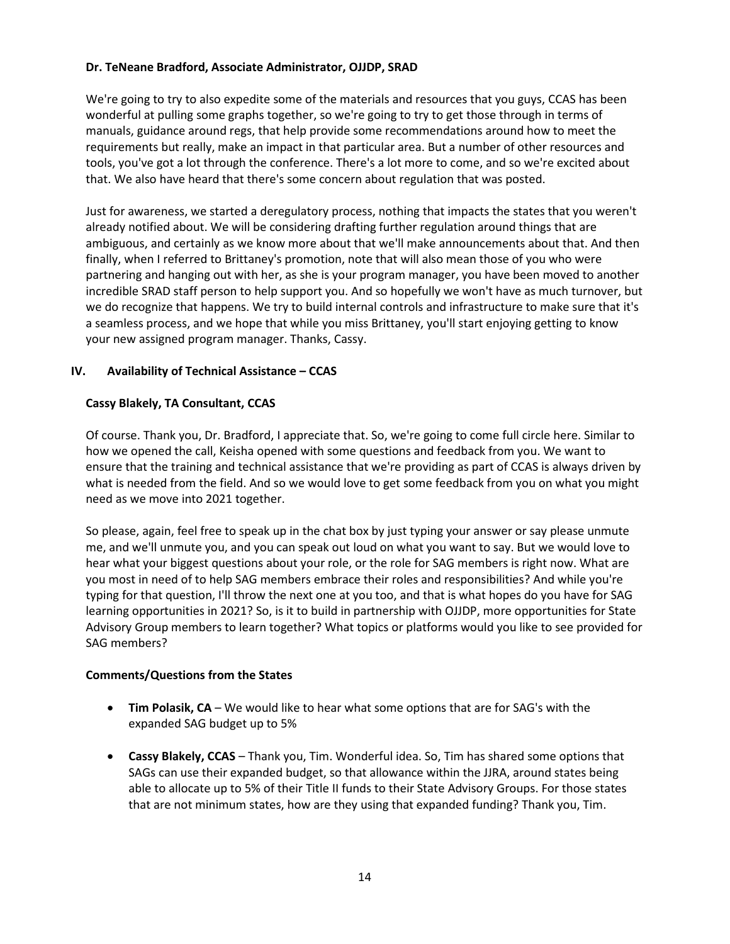## **Dr. TeNeane Bradford, Associate Administrator, OJJDP, SRAD**

We're going to try to also expedite some of the materials and resources that you guys, CCAS has been wonderful at pulling some graphs together, so we're going to try to get those through in terms of manuals, guidance around regs, that help provide some recommendations around how to meet the requirements but really, make an impact in that particular area. But a number of other resources and tools, you've got a lot through the conference. There's a lot more to come, and so we're excited about that. We also have heard that there's some concern about regulation that was posted.

Just for awareness, we started a deregulatory process, nothing that impacts the states that you weren't already notified about. We will be considering drafting further regulation around things that are ambiguous, and certainly as we know more about that we'll make announcements about that. And then finally, when I referred to Brittaney's promotion, note that will also mean those of you who were partnering and hanging out with her, as she is your program manager, you have been moved to another incredible SRAD staff person to help support you. And so hopefully we won't have as much turnover, but we do recognize that happens. We try to build internal controls and infrastructure to make sure that it's a seamless process, and we hope that while you miss Brittaney, you'll start enjoying getting to know your new assigned program manager. Thanks, Cassy.

# **IV. Availability of Technical Assistance – CCAS**

## **Cassy Blakely, TA Consultant, CCAS**

Of course. Thank you, Dr. Bradford, I appreciate that. So, we're going to come full circle here. Similar to how we opened the call, Keisha opened with some questions and feedback from you. We want to ensure that the training and technical assistance that we're providing as part of CCAS is always driven by what is needed from the field. And so we would love to get some feedback from you on what you might need as we move into 2021 together.

So please, again, feel free to speak up in the chat box by just typing your answer or say please unmute me, and we'll unmute you, and you can speak out loud on what you want to say. But we would love to hear what your biggest questions about your role, or the role for SAG members is right now. What are you most in need of to help SAG members embrace their roles and responsibilities? And while you're typing for that question, I'll throw the next one at you too, and that is what hopes do you have for SAG learning opportunities in 2021? So, is it to build in partnership with OJJDP, more opportunities for State Advisory Group members to learn together? What topics or platforms would you like to see provided for SAG members?

#### **Comments/Questions from the States**

- **Tim Polasik, CA** We would like to hear what some options that are for SAG's with the expanded SAG budget up to 5%
- **Cassy Blakely, CCAS** Thank you, Tim. Wonderful idea. So, Tim has shared some options that SAGs can use their expanded budget, so that allowance within the JJRA, around states being able to allocate up to 5% of their Title II funds to their State Advisory Groups. For those states that are not minimum states, how are they using that expanded funding? Thank you, Tim.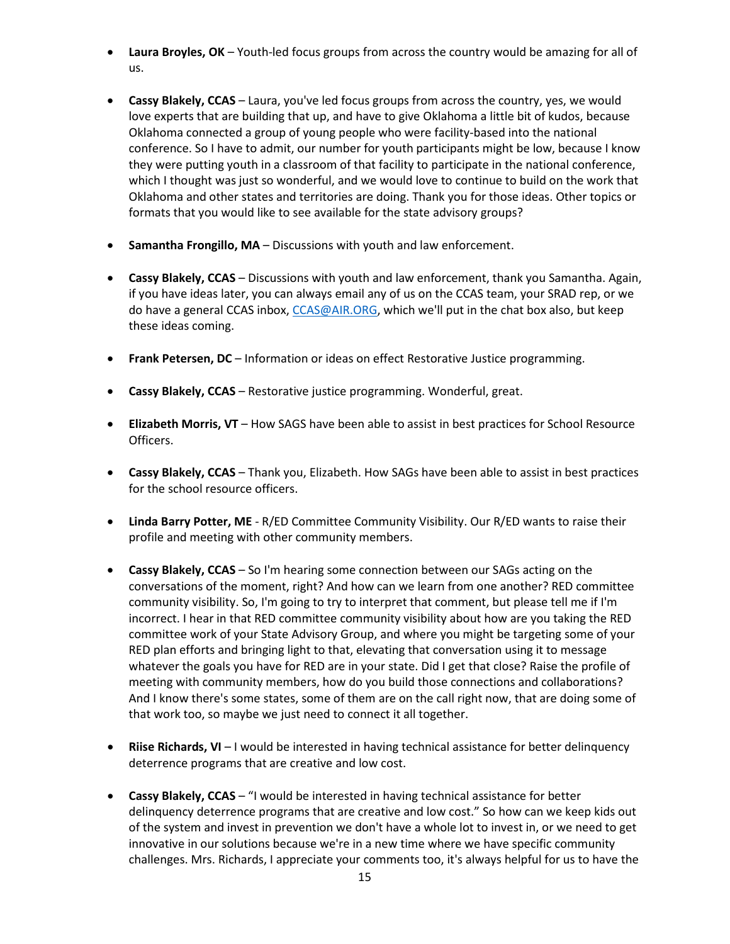- **Laura Broyles, OK** Youth-led focus groups from across the country would be amazing for all of us.
- **Cassy Blakely, CCAS** Laura, you've led focus groups from across the country, yes, we would love experts that are building that up, and have to give Oklahoma a little bit of kudos, because Oklahoma connected a group of young people who were facility-based into the national conference. So I have to admit, our number for youth participants might be low, because I know they were putting youth in a classroom of that facility to participate in the national conference, which I thought was just so wonderful, and we would love to continue to build on the work that Oklahoma and other states and territories are doing. Thank you for those ideas. Other topics or formats that you would like to see available for the state advisory groups?
- **Samantha Frongillo, MA** Discussions with youth and law enforcement.
- **Cassy Blakely, CCAS** Discussions with youth and law enforcement, thank you Samantha. Again, if you have ideas later, you can always email any of us on the CCAS team, your SRAD rep, or we do have a general CCAS inbox, [CCAS@AIR.ORG,](file://dc1fs/dc1ehd/share/CCAS/Year%206/OJJDP%20Calls%20with%20the%20States/SAG%20Calls/1.27.21/CCAS@AIR.ORG) which we'll put in the chat box also, but keep these ideas coming.
- **Frank Petersen, DC** Information or ideas on effect Restorative Justice programming.
- **Cassy Blakely, CCAS** Restorative justice programming. Wonderful, great.
- **Elizabeth Morris, VT** How SAGS have been able to assist in best practices for School Resource Officers.
- **Cassy Blakely, CCAS** Thank you, Elizabeth. How SAGs have been able to assist in best practices for the school resource officers.
- **Linda Barry Potter, ME** R/ED Committee Community Visibility. Our R/ED wants to raise their profile and meeting with other community members.
- **Cassy Blakely, CCAS** So I'm hearing some connection between our SAGs acting on the conversations of the moment, right? And how can we learn from one another? RED committee community visibility. So, I'm going to try to interpret that comment, but please tell me if I'm incorrect. I hear in that RED committee community visibility about how are you taking the RED committee work of your State Advisory Group, and where you might be targeting some of your RED plan efforts and bringing light to that, elevating that conversation using it to message whatever the goals you have for RED are in your state. Did I get that close? Raise the profile of meeting with community members, how do you build those connections and collaborations? And I know there's some states, some of them are on the call right now, that are doing some of that work too, so maybe we just need to connect it all together.
- **Riise Richards, VI** I would be interested in having technical assistance for better delinquency deterrence programs that are creative and low cost.
- **Cassy Blakely, CCAS** "I would be interested in having technical assistance for better delinquency deterrence programs that are creative and low cost." So how can we keep kids out of the system and invest in prevention we don't have a whole lot to invest in, or we need to get innovative in our solutions because we're in a new time where we have specific community challenges. Mrs. Richards, I appreciate your comments too, it's always helpful for us to have the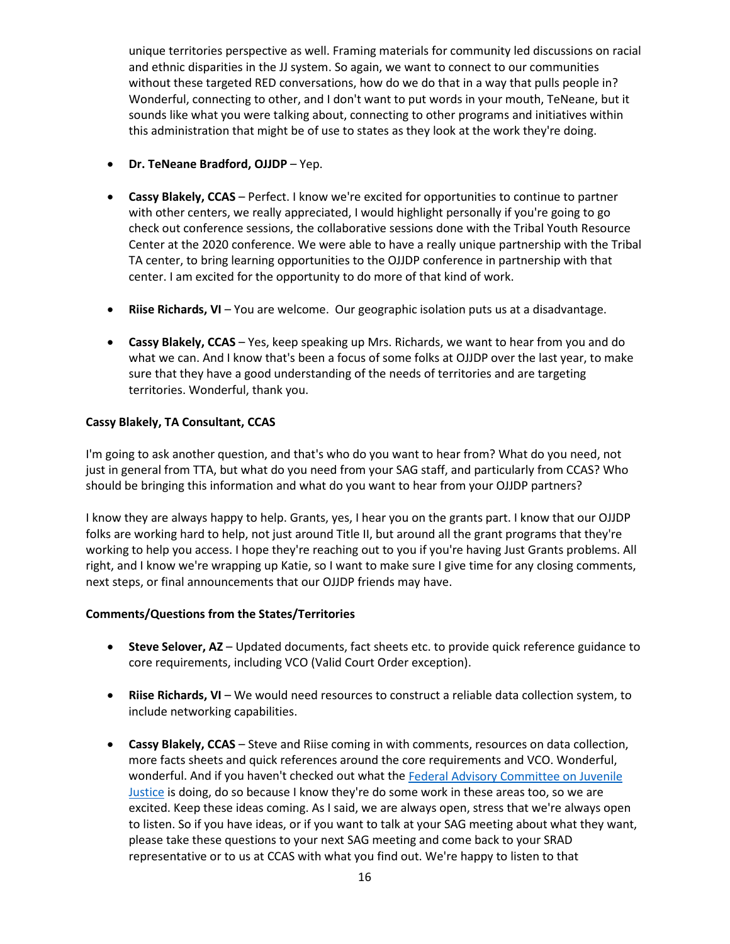unique territories perspective as well. Framing materials for community led discussions on racial and ethnic disparities in the JJ system. So again, we want to connect to our communities without these targeted RED conversations, how do we do that in a way that pulls people in? Wonderful, connecting to other, and I don't want to put words in your mouth, TeNeane, but it sounds like what you were talking about, connecting to other programs and initiatives within this administration that might be of use to states as they look at the work they're doing.

- **Dr. TeNeane Bradford, OJJDP** Yep.
- **Cassy Blakely, CCAS** Perfect. I know we're excited for opportunities to continue to partner with other centers, we really appreciated, I would highlight personally if you're going to go check out conference sessions, the collaborative sessions done with the Tribal Youth Resource Center at the 2020 conference. We were able to have a really unique partnership with the Tribal TA center, to bring learning opportunities to the OJJDP conference in partnership with that center. I am excited for the opportunity to do more of that kind of work.
- **Riise Richards, VI** You are welcome. Our geographic isolation puts us at a disadvantage.
- **Cassy Blakely, CCAS** Yes, keep speaking up Mrs. Richards, we want to hear from you and do what we can. And I know that's been a focus of some folks at OJJDP over the last year, to make sure that they have a good understanding of the needs of territories and are targeting territories. Wonderful, thank you.

## **Cassy Blakely, TA Consultant, CCAS**

I'm going to ask another question, and that's who do you want to hear from? What do you need, not just in general from TTA, but what do you need from your SAG staff, and particularly from CCAS? Who should be bringing this information and what do you want to hear from your OJJDP partners?

I know they are always happy to help. Grants, yes, I hear you on the grants part. I know that our OJJDP folks are working hard to help, not just around Title II, but around all the grant programs that they're working to help you access. I hope they're reaching out to you if you're having Just Grants problems. All right, and I know we're wrapping up Katie, so I want to make sure I give time for any closing comments, next steps, or final announcements that our OJJDP friends may have.

#### **Comments/Questions from the States/Territories**

- **Steve Selover, AZ** Updated documents, fact sheets etc. to provide quick reference guidance to core requirements, including VCO (Valid Court Order exception).
- **Riise Richards, VI** We would need resources to construct a reliable data collection system, to include networking capabilities.
- **Cassy Blakely, CCAS** Steve and Riise coming in with comments, resources on data collection, more facts sheets and quick references around the core requirements and VCO. Wonderful, wonderful. And if you haven't checked out what th[e Federal Advisory Committee](https://facjj.ojp.gov/) on Juvenile [Justice](https://facjj.ojp.gov/) is doing, do so because I know they're do some work in these areas too, so we are excited. Keep these ideas coming. As I said, we are always open, stress that we're always open to listen. So if you have ideas, or if you want to talk at your SAG meeting about what they want, please take these questions to your next SAG meeting and come back to your SRAD representative or to us at CCAS with what you find out. We're happy to listen to that